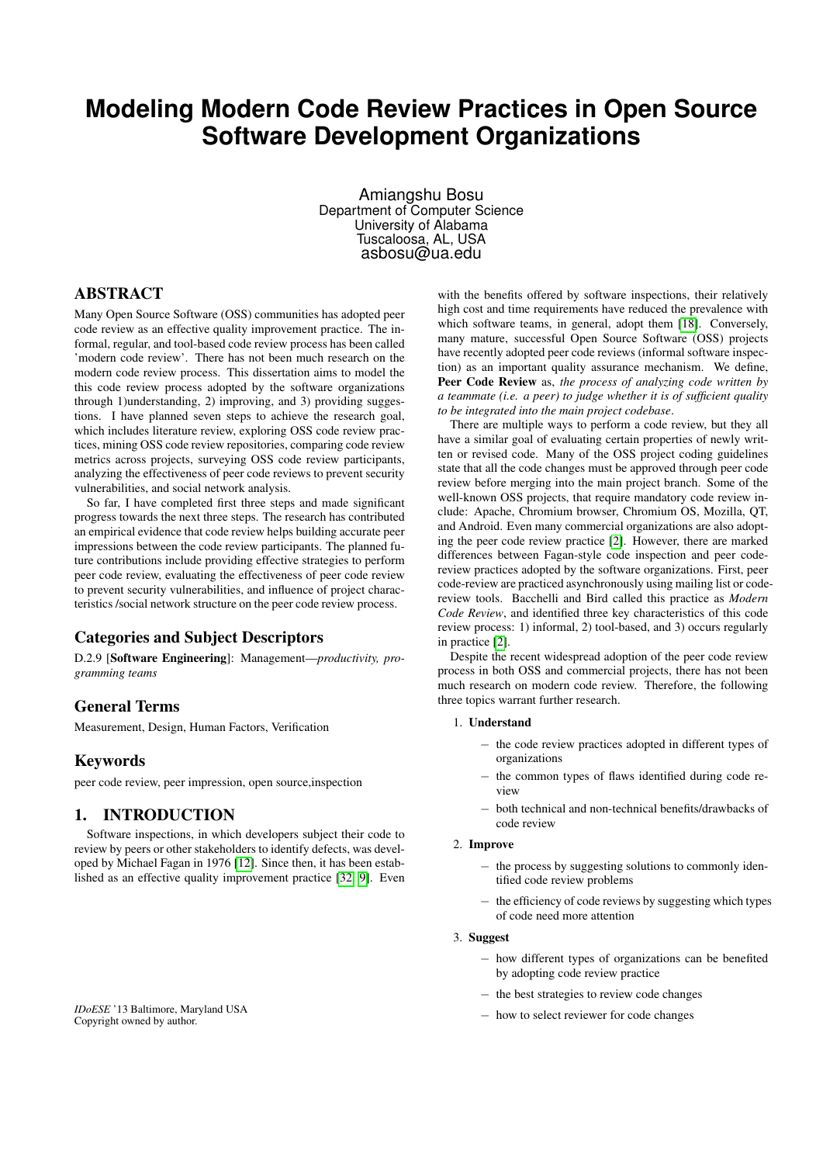# **Modeling Modern Code Review Practices in Open Source Software Development Organizations**

Amiangshu Bosu Department of Computer Science University of Alabama Tuscaloosa, AL, USA asbosu@ua.edu

## ABSTRACT

Many Open Source Software (OSS) communities has adopted peer code review as an effective quality improvement practice. The informal, regular, and tool-based code review process has been called 'modern code review'. There has not been much research on the modern code review process. This dissertation aims to model the this code review process adopted by the software organizations through 1)understanding, 2) improving, and 3) providing suggestions. I have planned seven steps to achieve the research goal, which includes literature review, exploring OSS code review practices, mining OSS code review repositories, comparing code review metrics across projects, surveying OSS code review participants, analyzing the effectiveness of peer code reviews to prevent security vulnerabilities, and social network analysis.

So far, I have completed first three steps and made significant progress towards the next three steps. The research has contributed an empirical evidence that code review helps building accurate peer impressions between the code review participants. The planned future contributions include providing effective strategies to perform peer code review, evaluating the effectiveness of peer code review to prevent security vulnerabilities, and influence of project characteristics /social network structure on the peer code review process.

## Categories and Subject Descriptors

D.2.9 [Software Engineering]: Management—*productivity, programming teams*

## General Terms

Measurement, Design, Human Factors, Verification

## Keywords

peer code review, peer impression, open source,inspection

## 1. INTRODUCTION

Software inspections, in which developers subject their code to review by peers or other stakeholders to identify defects, was developed by Michael Fagan in 1976 [\[12\]](#page-7-0). Since then, it has been established as an effective quality improvement practice [\[32,](#page-7-1) [9\]](#page-7-2). Even

*IDoESE* '13 Baltimore, Maryland USA Copyright owned by author.

with the benefits offered by software inspections, their relatively high cost and time requirements have reduced the prevalence with which software teams, in general, adopt them [\[18\]](#page-7-3). Conversely, many mature, successful Open Source Software (OSS) projects have recently adopted peer code reviews (informal software inspection) as an important quality assurance mechanism. We define, Peer Code Review as, *the process of analyzing code written by a teammate (i.e. a peer) to judge whether it is of sufficient quality to be integrated into the main project codebase*.

There are multiple ways to perform a code review, but they all have a similar goal of evaluating certain properties of newly written or revised code. Many of the OSS project coding guidelines state that all the code changes must be approved through peer code review before merging into the main project branch. Some of the well-known OSS projects, that require mandatory code review include: Apache, Chromium browser, Chromium OS, Mozilla, QT, and Android. Even many commercial organizations are also adopting the peer code review practice [\[2\]](#page-7-4). However, there are marked differences between Fagan-style code inspection and peer codereview practices adopted by the software organizations. First, peer code-review are practiced asynchronously using mailing list or codereview tools. Bacchelli and Bird called this practice as *Modern Code Review*, and identified three key characteristics of this code review process: 1) informal, 2) tool-based, and 3) occurs regularly in practice [\[2\]](#page-7-4).

Despite the recent widespread adoption of the peer code review process in both OSS and commercial projects, there has not been much research on modern code review. Therefore, the following three topics warrant further research.

#### 1. Understand

- − the code review practices adopted in different types of organizations
- − the common types of flaws identified during code review
- − both technical and non-technical benefits/drawbacks of code review

#### 2. Improve

- − the process by suggesting solutions to commonly identified code review problems
- − the efficiency of code reviews by suggesting which types of code need more attention
- 3. Suggest
	- − how different types of organizations can be benefited by adopting code review practice
	- − the best strategies to review code changes
	- − how to select reviewer for code changes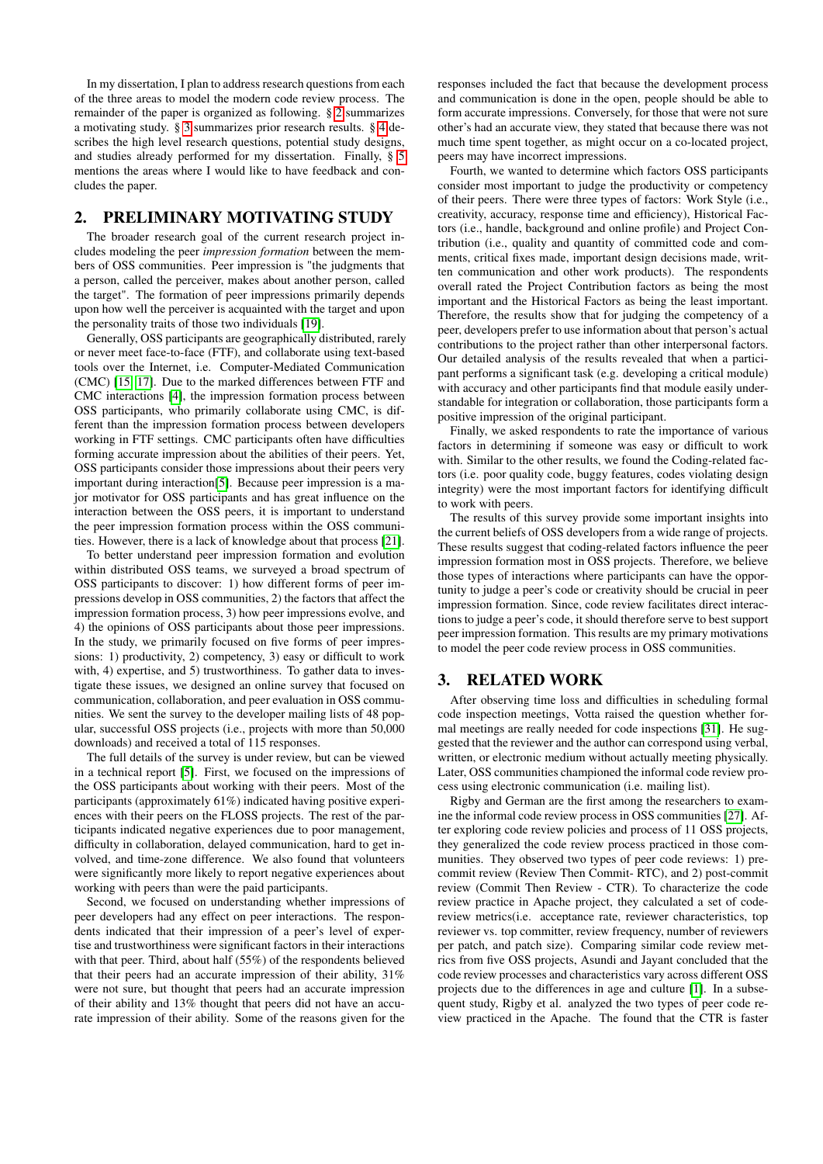In my dissertation, I plan to address research questions from each of the three areas to model the modern code review process. The remainder of the paper is organized as following. § [2](#page-1-0) summarizes a motivating study. § [3](#page-1-1) summarizes prior research results. § [4](#page-2-0) describes the high level research questions, potential study designs, and studies already performed for my dissertation. Finally, § [5](#page-7-5) mentions the areas where I would like to have feedback and concludes the paper.

## <span id="page-1-0"></span>2. PRELIMINARY MOTIVATING STUDY

The broader research goal of the current research project includes modeling the peer *impression formation* between the members of OSS communities. Peer impression is "the judgments that a person, called the perceiver, makes about another person, called the target". The formation of peer impressions primarily depends upon how well the perceiver is acquainted with the target and upon the personality traits of those two individuals [\[19\]](#page-7-6).

Generally, OSS participants are geographically distributed, rarely or never meet face-to-face (FTF), and collaborate using text-based tools over the Internet, i.e. Computer-Mediated Communication (CMC) [\[15,](#page-7-7) [17\]](#page-7-8). Due to the marked differences between FTF and CMC interactions [\[4\]](#page-7-9), the impression formation process between OSS participants, who primarily collaborate using CMC, is different than the impression formation process between developers working in FTF settings. CMC participants often have difficulties forming accurate impression about the abilities of their peers. Yet, OSS participants consider those impressions about their peers very important during interaction[\[5\]](#page-7-10). Because peer impression is a major motivator for OSS participants and has great influence on the interaction between the OSS peers, it is important to understand the peer impression formation process within the OSS communities. However, there is a lack of knowledge about that process [\[21\]](#page-7-11).

To better understand peer impression formation and evolution within distributed OSS teams, we surveyed a broad spectrum of OSS participants to discover: 1) how different forms of peer impressions develop in OSS communities, 2) the factors that affect the impression formation process, 3) how peer impressions evolve, and 4) the opinions of OSS participants about those peer impressions. In the study, we primarily focused on five forms of peer impressions: 1) productivity, 2) competency, 3) easy or difficult to work with, 4) expertise, and 5) trustworthiness. To gather data to investigate these issues, we designed an online survey that focused on communication, collaboration, and peer evaluation in OSS communities. We sent the survey to the developer mailing lists of 48 popular, successful OSS projects (i.e., projects with more than 50,000 downloads) and received a total of 115 responses.

The full details of the survey is under review, but can be viewed in a technical report [\[5\]](#page-7-10). First, we focused on the impressions of the OSS participants about working with their peers. Most of the participants (approximately 61%) indicated having positive experiences with their peers on the FLOSS projects. The rest of the participants indicated negative experiences due to poor management, difficulty in collaboration, delayed communication, hard to get involved, and time-zone difference. We also found that volunteers were significantly more likely to report negative experiences about working with peers than were the paid participants.

Second, we focused on understanding whether impressions of peer developers had any effect on peer interactions. The respondents indicated that their impression of a peer's level of expertise and trustworthiness were significant factors in their interactions with that peer. Third, about half (55%) of the respondents believed that their peers had an accurate impression of their ability, 31% were not sure, but thought that peers had an accurate impression of their ability and 13% thought that peers did not have an accurate impression of their ability. Some of the reasons given for the

responses included the fact that because the development process and communication is done in the open, people should be able to form accurate impressions. Conversely, for those that were not sure other's had an accurate view, they stated that because there was not much time spent together, as might occur on a co-located project, peers may have incorrect impressions.

Fourth, we wanted to determine which factors OSS participants consider most important to judge the productivity or competency of their peers. There were three types of factors: Work Style (i.e., creativity, accuracy, response time and efficiency), Historical Factors (i.e., handle, background and online profile) and Project Contribution (i.e., quality and quantity of committed code and comments, critical fixes made, important design decisions made, written communication and other work products). The respondents overall rated the Project Contribution factors as being the most important and the Historical Factors as being the least important. Therefore, the results show that for judging the competency of a peer, developers prefer to use information about that person's actual contributions to the project rather than other interpersonal factors. Our detailed analysis of the results revealed that when a participant performs a significant task (e.g. developing a critical module) with accuracy and other participants find that module easily understandable for integration or collaboration, those participants form a positive impression of the original participant.

Finally, we asked respondents to rate the importance of various factors in determining if someone was easy or difficult to work with. Similar to the other results, we found the Coding-related factors (i.e. poor quality code, buggy features, codes violating design integrity) were the most important factors for identifying difficult to work with peers.

The results of this survey provide some important insights into the current beliefs of OSS developers from a wide range of projects. These results suggest that coding-related factors influence the peer impression formation most in OSS projects. Therefore, we believe those types of interactions where participants can have the opportunity to judge a peer's code or creativity should be crucial in peer impression formation. Since, code review facilitates direct interactions to judge a peer's code, it should therefore serve to best support peer impression formation. This results are my primary motivations to model the peer code review process in OSS communities.

## <span id="page-1-1"></span>3. RELATED WORK

After observing time loss and difficulties in scheduling formal code inspection meetings, Votta raised the question whether formal meetings are really needed for code inspections [\[31\]](#page-7-12). He suggested that the reviewer and the author can correspond using verbal, written, or electronic medium without actually meeting physically. Later, OSS communities championed the informal code review process using electronic communication (i.e. mailing list).

Rigby and German are the first among the researchers to examine the informal code review process in OSS communities [\[27\]](#page-7-13). After exploring code review policies and process of 11 OSS projects, they generalized the code review process practiced in those communities. They observed two types of peer code reviews: 1) precommit review (Review Then Commit- RTC), and 2) post-commit review (Commit Then Review - CTR). To characterize the code review practice in Apache project, they calculated a set of codereview metrics(i.e. acceptance rate, reviewer characteristics, top reviewer vs. top committer, review frequency, number of reviewers per patch, and patch size). Comparing similar code review metrics from five OSS projects, Asundi and Jayant concluded that the code review processes and characteristics vary across different OSS projects due to the differences in age and culture [\[1\]](#page-7-14). In a subsequent study, Rigby et al. analyzed the two types of peer code review practiced in the Apache. The found that the CTR is faster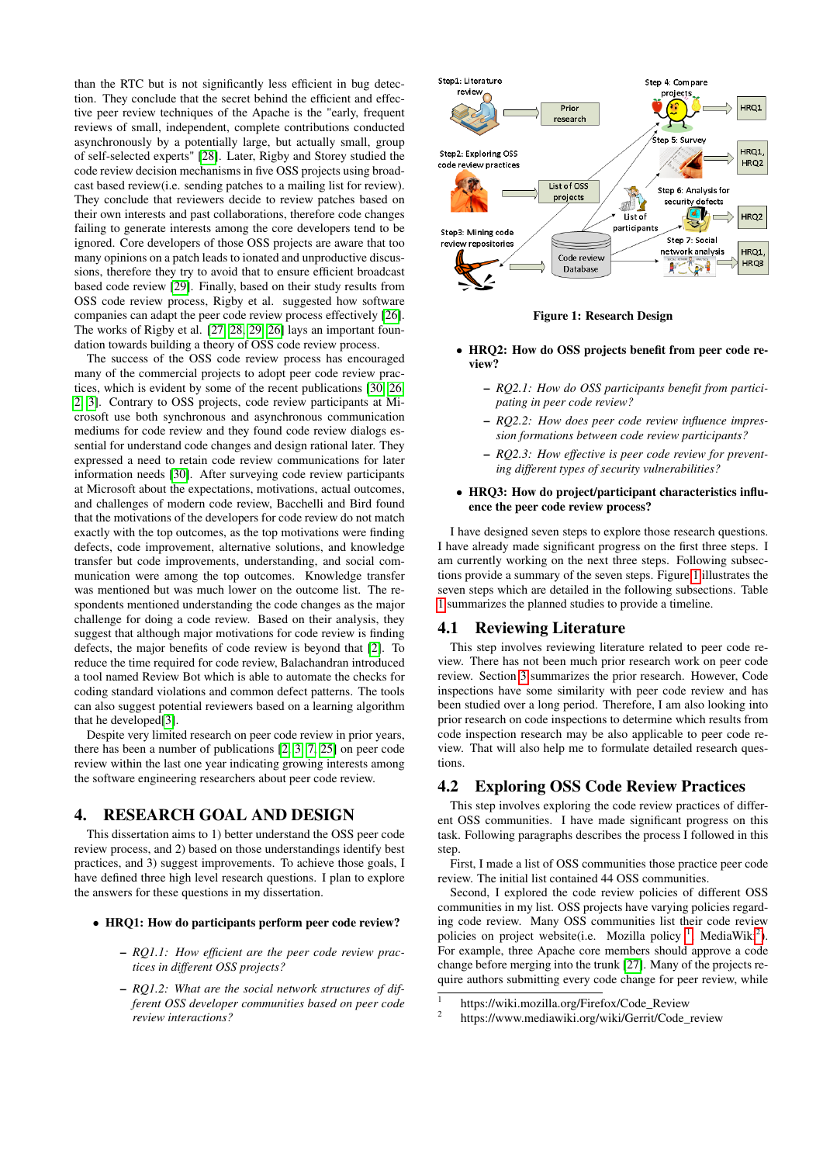than the RTC but is not significantly less efficient in bug detection. They conclude that the secret behind the efficient and effective peer review techniques of the Apache is the "early, frequent reviews of small, independent, complete contributions conducted asynchronously by a potentially large, but actually small, group of self-selected experts" [\[28\]](#page-7-15). Later, Rigby and Storey studied the code review decision mechanisms in five OSS projects using broadcast based review(i.e. sending patches to a mailing list for review). They conclude that reviewers decide to review patches based on their own interests and past collaborations, therefore code changes failing to generate interests among the core developers tend to be ignored. Core developers of those OSS projects are aware that too many opinions on a patch leads to ionated and unproductive discussions, therefore they try to avoid that to ensure efficient broadcast based code review [\[29\]](#page-7-16). Finally, based on their study results from OSS code review process, Rigby et al. suggested how software companies can adapt the peer code review process effectively [\[26\]](#page-7-17). The works of Rigby et al. [\[27,](#page-7-13) [28,](#page-7-15) [29,](#page-7-16) [26\]](#page-7-17) lays an important foundation towards building a theory of OSS code review process.

The success of the OSS code review process has encouraged many of the commercial projects to adopt peer code review practices, which is evident by some of the recent publications [\[30,](#page-7-18) [26,](#page-7-17) [2,](#page-7-4) [3\]](#page-7-19). Contrary to OSS projects, code review participants at Microsoft use both synchronous and asynchronous communication mediums for code review and they found code review dialogs essential for understand code changes and design rational later. They expressed a need to retain code review communications for later information needs [\[30\]](#page-7-18). After surveying code review participants at Microsoft about the expectations, motivations, actual outcomes, and challenges of modern code review, Bacchelli and Bird found that the motivations of the developers for code review do not match exactly with the top outcomes, as the top motivations were finding defects, code improvement, alternative solutions, and knowledge transfer but code improvements, understanding, and social communication were among the top outcomes. Knowledge transfer was mentioned but was much lower on the outcome list. The respondents mentioned understanding the code changes as the major challenge for doing a code review. Based on their analysis, they suggest that although major motivations for code review is finding defects, the major benefits of code review is beyond that [\[2\]](#page-7-4). To reduce the time required for code review, Balachandran introduced a tool named Review Bot which is able to automate the checks for coding standard violations and common defect patterns. The tools can also suggest potential reviewers based on a learning algorithm that he developed[\[3\]](#page-7-19).

Despite very limited research on peer code review in prior years, there has been a number of publications [\[2,](#page-7-4) [3,](#page-7-19) [7,](#page-7-20) [25\]](#page-7-21) on peer code review within the last one year indicating growing interests among the software engineering researchers about peer code review.

## <span id="page-2-0"></span>4. RESEARCH GOAL AND DESIGN

This dissertation aims to 1) better understand the OSS peer code review process, and 2) based on those understandings identify best practices, and 3) suggest improvements. To achieve those goals, I have defined three high level research questions. I plan to explore the answers for these questions in my dissertation.

- HRQ1: How do participants perform peer code review?
	- *RQ1.1: How efficient are the peer code review practices in different OSS projects?*
	- *RQ1.2: What are the social network structures of different OSS developer communities based on peer code review interactions?*



<span id="page-2-1"></span>

- HRQ2: How do OSS projects benefit from peer code review?
	- *RQ2.1: How do OSS participants benefit from participating in peer code review?*
	- *RQ2.2: How does peer code review influence impression formations between code review participants?*
	- *RQ2.3: How effective is peer code review for preventing different types of security vulnerabilities?*

#### • HRQ3: How do project/participant characteristics influence the peer code review process?

I have designed seven steps to explore those research questions. I have already made significant progress on the first three steps. I am currently working on the next three steps. Following subsections provide a summary of the seven steps. Figure [1](#page-2-1) illustrates the seven steps which are detailed in the following subsections. Table [1](#page-3-0) summarizes the planned studies to provide a timeline.

#### 4.1 Reviewing Literature

This step involves reviewing literature related to peer code review. There has not been much prior research work on peer code review. Section [3](#page-1-1) summarizes the prior research. However, Code inspections have some similarity with peer code review and has been studied over a long period. Therefore, I am also looking into prior research on code inspections to determine which results from code inspection research may be also applicable to peer code review. That will also help me to formulate detailed research questions.

#### 4.2 Exploring OSS Code Review Practices

This step involves exploring the code review practices of different OSS communities. I have made significant progress on this task. Following paragraphs describes the process I followed in this step.

First, I made a list of OSS communities those practice peer code review. The initial list contained 44 OSS communities.

Second, I explored the code review policies of different OSS communities in my list. OSS projects have varying policies regarding code review. Many OSS communities list their code review policies on project website(i.e. Mozilla policy<sup>[1](#page-2-2)</sup>, MediaWiki<sup>[2](#page-2-3)</sup>). For example, three Apache core members should approve a code change before merging into the trunk [\[27\]](#page-7-13). Many of the projects require authors submitting every code change for peer review, while

<span id="page-2-2"></span> $\overline{1}$ https://wiki.mozilla.org/Firefox/Code\_Review

<span id="page-2-3"></span> $\overline{2}$ https://www.mediawiki.org/wiki/Gerrit/Code\_review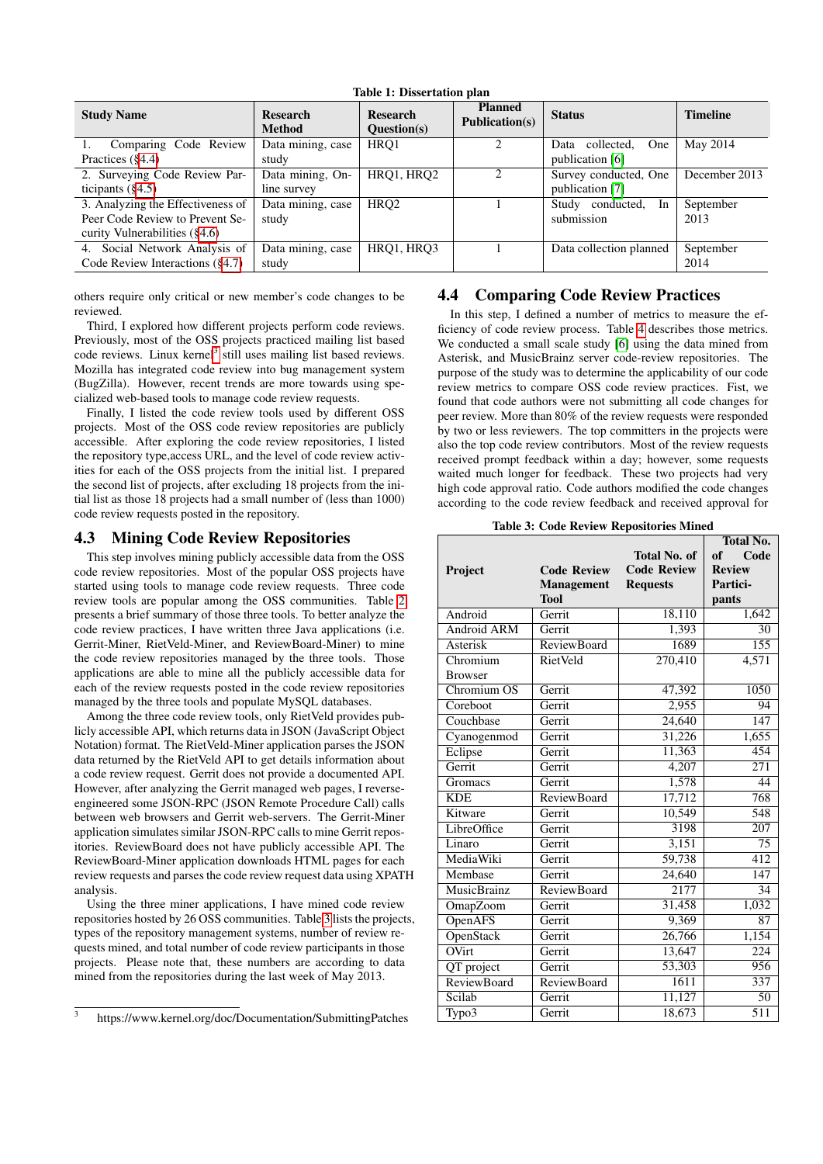| <b>Study Name</b>                  | <b>Research</b><br><b>Method</b> | <b>Research</b><br>Question(s) | <b>Planned</b><br><b>Publication(s)</b> | <b>Status</b>             | <b>Timeline</b> |
|------------------------------------|----------------------------------|--------------------------------|-----------------------------------------|---------------------------|-----------------|
| Comparing Code Review              | Data mining, case                | HRO1                           |                                         | collected,<br>One<br>Data | May 2014        |
| Practices $(\S4.4)$                | study                            |                                |                                         | publication [6]           |                 |
| 2. Surveying Code Review Par-      | Data mining, On-                 | HRQ1, HRQ2                     |                                         | Survey conducted, One     | December 2013   |
| ticipants $(\S 4.5)$               | line survey                      |                                |                                         | publication [7]           |                 |
| 3. Analyzing the Effectiveness of  | Data mining, case                | HRO <sub>2</sub>               |                                         | In<br>Study conducted,    | September       |
| Peer Code Review to Prevent Se-    | study                            |                                |                                         | submission                | 2013            |
| curity Vulnerabilities $(\$4.6)$   |                                  |                                |                                         |                           |                 |
| Social Network Analysis of<br>4.   | Data mining, case                | HRQ1, HRQ3                     |                                         | Data collection planned   | September       |
| Code Review Interactions $(\S4.7)$ | study                            |                                |                                         |                           | 2014            |

<span id="page-3-0"></span>Table 1: Dissertation plan

others require only critical or new member's code changes to be reviewed.

Third, I explored how different projects perform code reviews. Previously, most of the OSS projects practiced mailing list based code reviews. Linux kernel<sup>[3](#page-3-2)</sup> still uses mailing list based reviews. Mozilla has integrated code review into bug management system (BugZilla). However, recent trends are more towards using specialized web-based tools to manage code review requests.

Finally, I listed the code review tools used by different OSS projects. Most of the OSS code review repositories are publicly accessible. After exploring the code review repositories, I listed the repository type,access URL, and the level of code review activities for each of the OSS projects from the initial list. I prepared the second list of projects, after excluding 18 projects from the initial list as those 18 projects had a small number of (less than 1000) code review requests posted in the repository.

## 4.3 Mining Code Review Repositories

This step involves mining publicly accessible data from the OSS code review repositories. Most of the popular OSS projects have started using tools to manage code review requests. Three code review tools are popular among the OSS communities. Table [2](#page-4-2) presents a brief summary of those three tools. To better analyze the code review practices, I have written three Java applications (i.e. Gerrit-Miner, RietVeld-Miner, and ReviewBoard-Miner) to mine the code review repositories managed by the three tools. Those applications are able to mine all the publicly accessible data for each of the review requests posted in the code review repositories managed by the three tools and populate MySQL databases.

Among the three code review tools, only RietVeld provides publicly accessible API, which returns data in JSON (JavaScript Object Notation) format. The RietVeld-Miner application parses the JSON data returned by the RietVeld API to get details information about a code review request. Gerrit does not provide a documented API. However, after analyzing the Gerrit managed web pages, I reverseengineered some JSON-RPC (JSON Remote Procedure Call) calls between web browsers and Gerrit web-servers. The Gerrit-Miner application simulates similar JSON-RPC calls to mine Gerrit repositories. ReviewBoard does not have publicly accessible API. The ReviewBoard-Miner application downloads HTML pages for each review requests and parses the code review request data using XPATH analysis.

Using the three miner applications, I have mined code review repositories hosted by 26 OSS communities. Table [3](#page-3-3) lists the projects, types of the repository management systems, number of review requests mined, and total number of code review participants in those projects. Please note that, these numbers are according to data mined from the repositories during the last week of May 2013.

## <span id="page-3-1"></span>4.4 Comparing Code Review Practices

In this step, I defined a number of metrics to measure the efficiency of code review process. Table [4](#page-4-3) describes those metrics. We conducted a small scale study [\[6\]](#page-7-22) using the data mined from Asterisk, and MusicBrainz server code-review repositories. The purpose of the study was to determine the applicability of our code review metrics to compare OSS code review practices. Fist, we found that code authors were not submitting all code changes for peer review. More than 80% of the review requests were responded by two or less reviewers. The top committers in the projects were also the top code review contributors. Most of the review requests received prompt feedback within a day; however, some requests waited much longer for feedback. These two projects had very high code approval ratio. Code authors modified the code changes according to the code review feedback and received approval for

<span id="page-3-3"></span>Table 3: Code Review Repositories Mined

|                            |                    |                    | <b>Total No.</b> |
|----------------------------|--------------------|--------------------|------------------|
|                            |                    | Total No. of       | Code<br>of       |
| Project                    | <b>Code Review</b> | <b>Code Review</b> | <b>Review</b>    |
|                            | <b>Management</b>  | <b>Requests</b>    | Partici-         |
|                            | <b>Tool</b>        |                    | pants            |
| Android                    | Gerrit             | 18,110             | 1,642            |
| <b>Android ARM</b>         | Gerrit             | 1,393              | 30               |
| Asterisk                   | <b>ReviewBoard</b> | 1689               | 155              |
| Chromium                   | RietVeld           | 270,410            | 4,571            |
| <b>Browser</b>             |                    |                    |                  |
| Chromium OS                | Gerrit             | 47,392             | 1050             |
| Coreboot                   | Gerrit             | 2,955              | 94               |
| Couchbase                  | Gerrit             | 24,640             | 147              |
| Cyanogenmod                | Gerrit             | 31,226             | 1,655            |
| Eclipse                    | Gerrit             | 11,363             | 454              |
| Gerrit                     | Gerrit             | 4,207              | $\overline{271}$ |
| Gromacs                    | Gerrit             | 1,578              | 44               |
| <b>KDE</b>                 | <b>ReviewBoard</b> | 17,712             | 768              |
| Kitware                    | Gerrit             | 10,549             | 548              |
| LibreOffice                | Gerrit             | 3198               | $\overline{207}$ |
| Linaro                     | Gerrit             | 3,151              | $\overline{75}$  |
| MediaWiki                  | Gerrit             | 59,738             | 412              |
| Membase                    | Gerrit             | 24,640             | 147              |
| <b>MusicBrainz</b>         | <b>ReviewBoard</b> | 2177               | $\overline{34}$  |
| OmapZoom                   | Gerrit             | 31,458             | 1,032            |
| <b>OpenAFS</b>             | Gerrit             | 9,369              | 87               |
| OpenStack                  | Gerrit             | 26,766             | 1,154            |
| $\overline{\text{OV}}$ irt | Gerrit             | 13,647             | 224              |
| QT project                 | Gerrit             | 53,303             | 956              |
| <b>ReviewBoard</b>         | <b>ReviewBoard</b> | 1611               | 337              |
| Scilab                     | Gerrit             | 11,127             | $\overline{50}$  |
| Typo3                      | Gerrit             | 18,673             | $\overline{511}$ |
|                            |                    |                    |                  |

<span id="page-3-2"></span><sup>3</sup> https://www.kernel.org/doc/Documentation/SubmittingPatches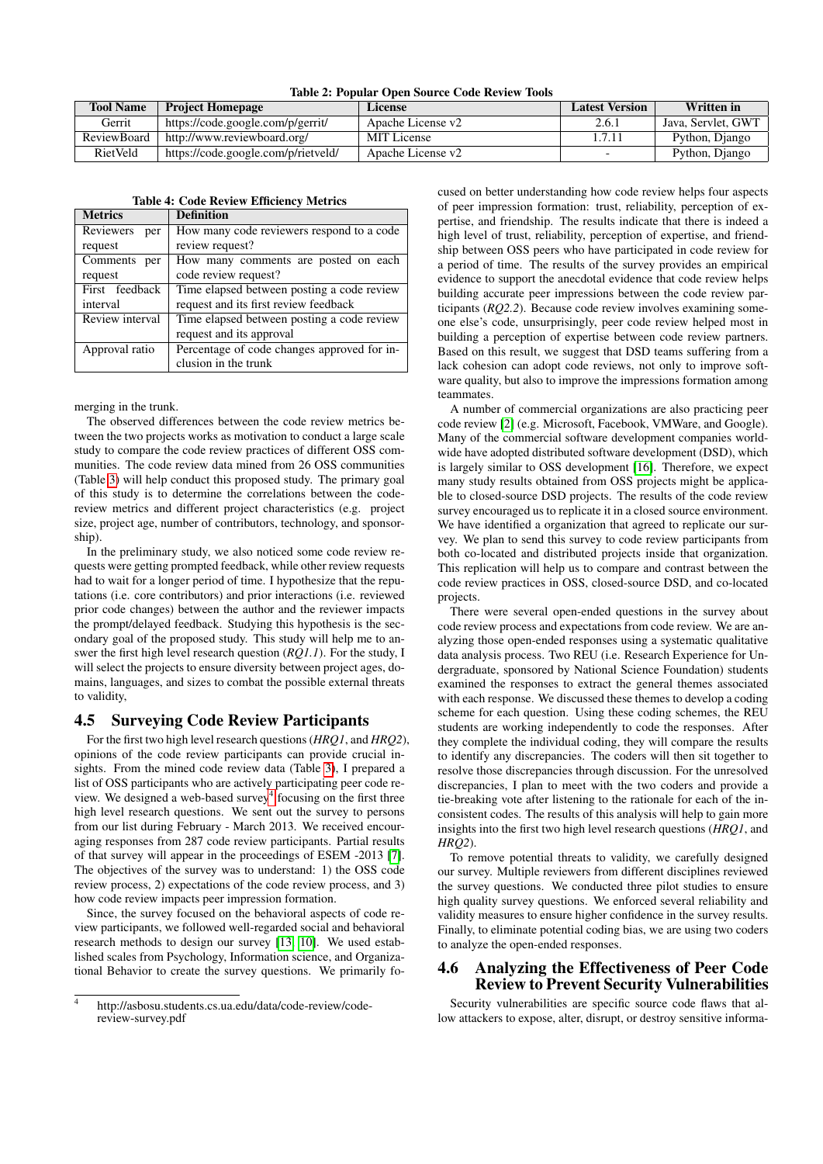<span id="page-4-2"></span>

| <b>Tool Name</b> | <b>Project Homepage</b>             | License           | <b>Latest Version</b> | <b>Written</b> in  |
|------------------|-------------------------------------|-------------------|-----------------------|--------------------|
| Gerrit           | https://code.google.com/p/gerrit/   | Apache License v2 | 2.6.1                 | Java, Servlet, GWT |
| Review Board     | http://www.reviewboard.org/         | MIT License       | 1.7.11                | Python, Django     |
| <b>RietVeld</b>  | https://code.google.com/p/rietveld/ | Apache License v2 |                       | Python, Django     |

| <b>Metrics</b>   | <b>Definition</b>                           |
|------------------|---------------------------------------------|
| Reviewers<br>per | How many code reviewers respond to a code   |
| request          | review request?                             |
| Comments per     | How many comments are posted on each        |
| request          | code review request?                        |
| First feedback   | Time elapsed between posting a code review  |
| interval         | request and its first review feedback       |
| Review interval  | Time elapsed between posting a code review  |
|                  | request and its approval                    |
| Approval ratio   | Percentage of code changes approved for in- |
|                  | clusion in the trunk                        |

#### <span id="page-4-3"></span>Table 4: Code Review Efficiency Metrics

merging in the trunk.

The observed differences between the code review metrics between the two projects works as motivation to conduct a large scale study to compare the code review practices of different OSS communities. The code review data mined from 26 OSS communities (Table [3\)](#page-3-3) will help conduct this proposed study. The primary goal of this study is to determine the correlations between the codereview metrics and different project characteristics (e.g. project size, project age, number of contributors, technology, and sponsorship).

In the preliminary study, we also noticed some code review requests were getting prompted feedback, while other review requests had to wait for a longer period of time. I hypothesize that the reputations (i.e. core contributors) and prior interactions (i.e. reviewed prior code changes) between the author and the reviewer impacts the prompt/delayed feedback. Studying this hypothesis is the secondary goal of the proposed study. This study will help me to answer the first high level research question (*RQ1.1*). For the study, I will select the projects to ensure diversity between project ages, domains, languages, and sizes to combat the possible external threats to validity,

## <span id="page-4-0"></span>4.5 Surveying Code Review Participants

For the first two high level research questions (*HRQ1*, and *HRQ2*), opinions of the code review participants can provide crucial insights. From the mined code review data (Table [3\)](#page-3-3), I prepared a list of OSS participants who are actively participating peer code re-view. We designed a web-based survey<sup>[4](#page-4-4)</sup> focusing on the first three high level research questions. We sent out the survey to persons from our list during February - March 2013. We received encouraging responses from 287 code review participants. Partial results of that survey will appear in the proceedings of ESEM -2013 [\[7\]](#page-7-20). The objectives of the survey was to understand: 1) the OSS code review process, 2) expectations of the code review process, and 3) how code review impacts peer impression formation.

Since, the survey focused on the behavioral aspects of code review participants, we followed well-regarded social and behavioral research methods to design our survey [\[13,](#page-7-23) [10\]](#page-7-24). We used established scales from Psychology, Information science, and Organizational Behavior to create the survey questions. We primarily focused on better understanding how code review helps four aspects of peer impression formation: trust, reliability, perception of expertise, and friendship. The results indicate that there is indeed a high level of trust, reliability, perception of expertise, and friendship between OSS peers who have participated in code review for a period of time. The results of the survey provides an empirical evidence to support the anecdotal evidence that code review helps building accurate peer impressions between the code review participants (*RQ2.2*). Because code review involves examining someone else's code, unsurprisingly, peer code review helped most in building a perception of expertise between code review partners. Based on this result, we suggest that DSD teams suffering from a lack cohesion can adopt code reviews, not only to improve software quality, but also to improve the impressions formation among teammates.

A number of commercial organizations are also practicing peer code review [\[2\]](#page-7-4) (e.g. Microsoft, Facebook, VMWare, and Google). Many of the commercial software development companies worldwide have adopted distributed software development (DSD), which is largely similar to OSS development [\[16\]](#page-7-25). Therefore, we expect many study results obtained from OSS projects might be applicable to closed-source DSD projects. The results of the code review survey encouraged us to replicate it in a closed source environment. We have identified a organization that agreed to replicate our survey. We plan to send this survey to code review participants from both co-located and distributed projects inside that organization. This replication will help us to compare and contrast between the code review practices in OSS, closed-source DSD, and co-located projects.

There were several open-ended questions in the survey about code review process and expectations from code review. We are analyzing those open-ended responses using a systematic qualitative data analysis process. Two REU (i.e. Research Experience for Undergraduate, sponsored by National Science Foundation) students examined the responses to extract the general themes associated with each response. We discussed these themes to develop a coding scheme for each question. Using these coding schemes, the REU students are working independently to code the responses. After they complete the individual coding, they will compare the results to identify any discrepancies. The coders will then sit together to resolve those discrepancies through discussion. For the unresolved discrepancies, I plan to meet with the two coders and provide a tie-breaking vote after listening to the rationale for each of the inconsistent codes. The results of this analysis will help to gain more insights into the first two high level research questions (*HRQ1*, and *HRQ2*).

To remove potential threats to validity, we carefully designed our survey. Multiple reviewers from different disciplines reviewed the survey questions. We conducted three pilot studies to ensure high quality survey questions. We enforced several reliability and validity measures to ensure higher confidence in the survey results. Finally, to eliminate potential coding bias, we are using two coders to analyze the open-ended responses.

## <span id="page-4-1"></span>4.6 Analyzing the Effectiveness of Peer Code Review to Prevent Security Vulnerabilities

Security vulnerabilities are specific source code flaws that allow attackers to expose, alter, disrupt, or destroy sensitive informa-

<span id="page-4-4"></span><sup>4</sup> http://asbosu.students.cs.ua.edu/data/code-review/codereview-survey.pdf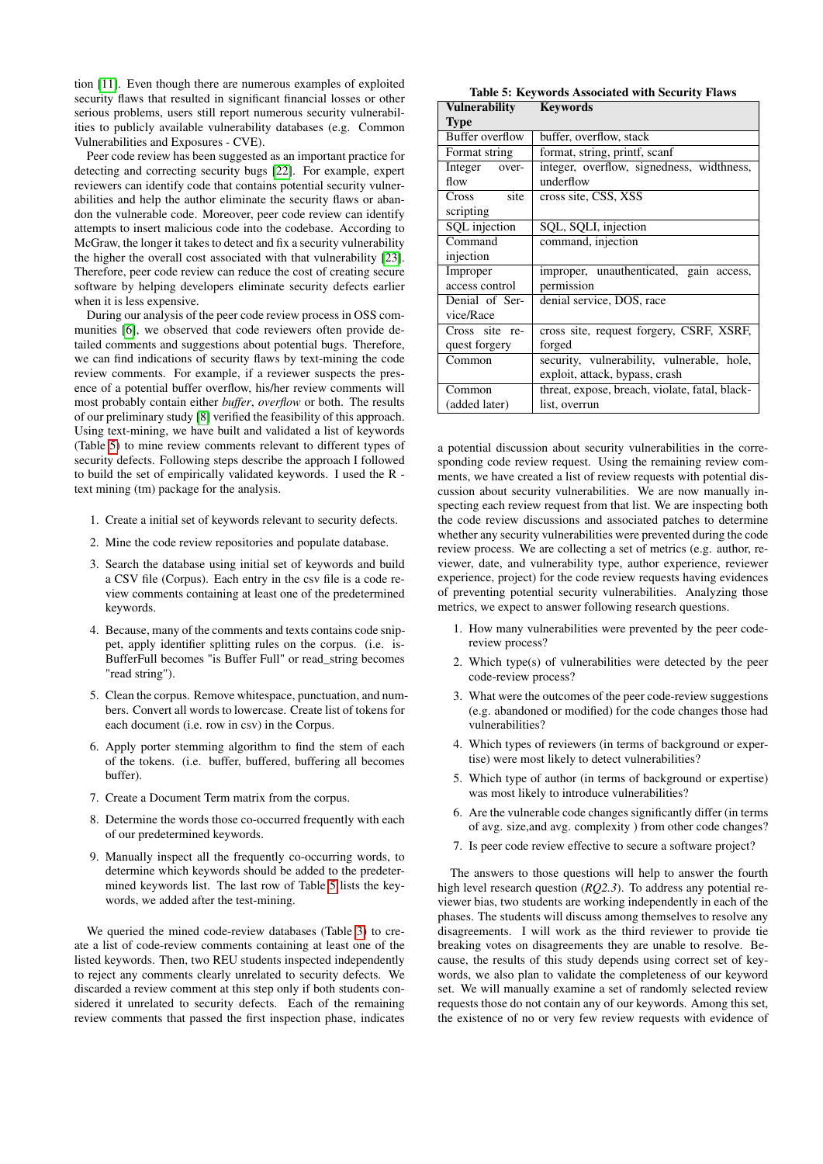tion [\[11\]](#page-7-26). Even though there are numerous examples of exploited security flaws that resulted in significant financial losses or other serious problems, users still report numerous security vulnerabilities to publicly available vulnerability databases (e.g. Common Vulnerabilities and Exposures - CVE).

Peer code review has been suggested as an important practice for detecting and correcting security bugs [\[22\]](#page-7-27). For example, expert reviewers can identify code that contains potential security vulnerabilities and help the author eliminate the security flaws or abandon the vulnerable code. Moreover, peer code review can identify attempts to insert malicious code into the codebase. According to McGraw, the longer it takes to detect and fix a security vulnerability the higher the overall cost associated with that vulnerability [\[23\]](#page-7-28). Therefore, peer code review can reduce the cost of creating secure software by helping developers eliminate security defects earlier when it is less expensive.

During our analysis of the peer code review process in OSS communities [\[6\]](#page-7-22), we observed that code reviewers often provide detailed comments and suggestions about potential bugs. Therefore, we can find indications of security flaws by text-mining the code review comments. For example, if a reviewer suspects the presence of a potential buffer overflow, his/her review comments will most probably contain either *buffer*, *overflow* or both. The results of our preliminary study [\[8\]](#page-7-29) verified the feasibility of this approach. Using text-mining, we have built and validated a list of keywords (Table [5\)](#page-5-0) to mine review comments relevant to different types of security defects. Following steps describe the approach I followed to build the set of empirically validated keywords. I used the R text mining (tm) package for the analysis.

- 1. Create a initial set of keywords relevant to security defects.
- 2. Mine the code review repositories and populate database.
- 3. Search the database using initial set of keywords and build a CSV file (Corpus). Each entry in the csv file is a code review comments containing at least one of the predetermined keywords.
- 4. Because, many of the comments and texts contains code snippet, apply identifier splitting rules on the corpus. (i.e. is-BufferFull becomes "is Buffer Full" or read\_string becomes "read string").
- 5. Clean the corpus. Remove whitespace, punctuation, and numbers. Convert all words to lowercase. Create list of tokens for each document (i.e. row in csv) in the Corpus.
- 6. Apply porter stemming algorithm to find the stem of each of the tokens. (i.e. buffer, buffered, buffering all becomes buffer).
- 7. Create a Document Term matrix from the corpus.
- 8. Determine the words those co-occurred frequently with each of our predetermined keywords.
- 9. Manually inspect all the frequently co-occurring words, to determine which keywords should be added to the predetermined keywords list. The last row of Table [5](#page-5-0) lists the keywords, we added after the test-mining.

We queried the mined code-review databases (Table [3\)](#page-3-3) to create a list of code-review comments containing at least one of the listed keywords. Then, two REU students inspected independently to reject any comments clearly unrelated to security defects. We discarded a review comment at this step only if both students considered it unrelated to security defects. Each of the remaining review comments that passed the first inspection phase, indicates

<span id="page-5-0"></span>

| <b>Table 5: Keywords Associated with Security Flaws</b> |
|---------------------------------------------------------|
| $\mathbf{I}$ novobility $\mathbf{I}$ ovyvordo           |

| Vulnerability    | <b>Keywords</b>                                |  |
|------------------|------------------------------------------------|--|
| <b>Type</b>      |                                                |  |
| Buffer overflow  | buffer, overflow, stack                        |  |
| Format string    | format, string, printf, scanf                  |  |
| Integer<br>over- | integer, overflow, signedness, widthness,      |  |
| flow             | underflow                                      |  |
| site<br>Cross    | cross site, CSS, XSS                           |  |
| scripting        |                                                |  |
| SQL injection    | SQL, SQLI, injection                           |  |
| Command          | command, injection                             |  |
| injection        |                                                |  |
| Improper         | improper, unauthenticated, gain access,        |  |
| access control   | permission                                     |  |
| Denial of Ser-   | denial service, DOS, race                      |  |
| vice/Race        |                                                |  |
| Cross site re-   | cross site, request forgery, CSRF, XSRF,       |  |
| quest forgery    | forged                                         |  |
| Common           | security, vulnerability, vulnerable, hole,     |  |
|                  | exploit, attack, bypass, crash                 |  |
| Common           | threat, expose, breach, violate, fatal, black- |  |
| (added later)    | list, overrun                                  |  |

a potential discussion about security vulnerabilities in the corresponding code review request. Using the remaining review comments, we have created a list of review requests with potential discussion about security vulnerabilities. We are now manually inspecting each review request from that list. We are inspecting both the code review discussions and associated patches to determine whether any security vulnerabilities were prevented during the code review process. We are collecting a set of metrics (e.g. author, reviewer, date, and vulnerability type, author experience, reviewer experience, project) for the code review requests having evidences of preventing potential security vulnerabilities. Analyzing those metrics, we expect to answer following research questions.

- 1. How many vulnerabilities were prevented by the peer codereview process?
- 2. Which type(s) of vulnerabilities were detected by the peer code-review process?
- 3. What were the outcomes of the peer code-review suggestions (e.g. abandoned or modified) for the code changes those had vulnerabilities?
- 4. Which types of reviewers (in terms of background or expertise) were most likely to detect vulnerabilities?
- 5. Which type of author (in terms of background or expertise) was most likely to introduce vulnerabilities?
- 6. Are the vulnerable code changes significantly differ (in terms of avg. size,and avg. complexity ) from other code changes?
- 7. Is peer code review effective to secure a software project?

The answers to those questions will help to answer the fourth high level research question (*RQ2.3*). To address any potential reviewer bias, two students are working independently in each of the phases. The students will discuss among themselves to resolve any disagreements. I will work as the third reviewer to provide tie breaking votes on disagreements they are unable to resolve. Because, the results of this study depends using correct set of keywords, we also plan to validate the completeness of our keyword set. We will manually examine a set of randomly selected review requests those do not contain any of our keywords. Among this set, the existence of no or very few review requests with evidence of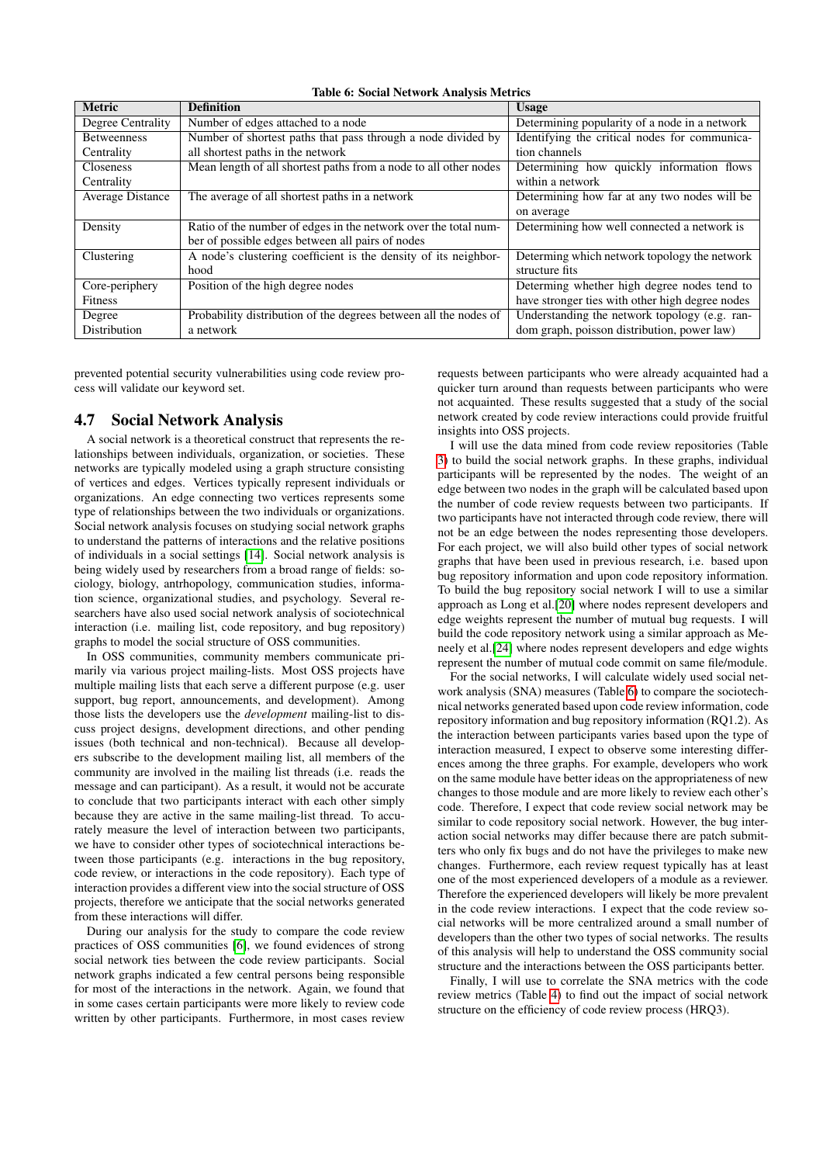<span id="page-6-1"></span>Table 6: Social Network Analysis Metrics

| <b>Metric</b>      | <b>Definition</b>                                                | <b>Usage</b>                                    |
|--------------------|------------------------------------------------------------------|-------------------------------------------------|
| Degree Centrality  | Number of edges attached to a node                               | Determining popularity of a node in a network   |
| <b>Betweenness</b> | Number of shortest paths that pass through a node divided by     | Identifying the critical nodes for communica-   |
| Centrality         | all shortest paths in the network                                | tion channels                                   |
| <b>Closeness</b>   | Mean length of all shortest paths from a node to all other nodes | Determining how quickly information flows       |
| Centrality         |                                                                  | within a network                                |
| Average Distance   | The average of all shortest paths in a network                   | Determining how far at any two nodes will be    |
|                    |                                                                  | on average                                      |
| Density            | Ratio of the number of edges in the network over the total num-  | Determining how well connected a network is     |
|                    | ber of possible edges between all pairs of nodes                 |                                                 |
| Clustering         | A node's clustering coefficient is the density of its neighbor-  | Determing which network topology the network    |
|                    | hood                                                             | structure fits                                  |
| Core-periphery     | Position of the high degree nodes                                | Determing whether high degree nodes tend to     |
| <b>Fitness</b>     |                                                                  | have stronger ties with other high degree nodes |
| Degree             | Probability distribution of the degrees between all the nodes of | Understanding the network topology (e.g. ran-   |
| Distribution       | a network                                                        | dom graph, poisson distribution, power law)     |

prevented potential security vulnerabilities using code review process will validate our keyword set.

## <span id="page-6-0"></span>4.7 Social Network Analysis

A social network is a theoretical construct that represents the relationships between individuals, organization, or societies. These networks are typically modeled using a graph structure consisting of vertices and edges. Vertices typically represent individuals or organizations. An edge connecting two vertices represents some type of relationships between the two individuals or organizations. Social network analysis focuses on studying social network graphs to understand the patterns of interactions and the relative positions of individuals in a social settings [\[14\]](#page-7-30). Social network analysis is being widely used by researchers from a broad range of fields: sociology, biology, antrhopology, communication studies, information science, organizational studies, and psychology. Several researchers have also used social network analysis of sociotechnical interaction (i.e. mailing list, code repository, and bug repository) graphs to model the social structure of OSS communities.

In OSS communities, community members communicate primarily via various project mailing-lists. Most OSS projects have multiple mailing lists that each serve a different purpose (e.g. user support, bug report, announcements, and development). Among those lists the developers use the *development* mailing-list to discuss project designs, development directions, and other pending issues (both technical and non-technical). Because all developers subscribe to the development mailing list, all members of the community are involved in the mailing list threads (i.e. reads the message and can participant). As a result, it would not be accurate to conclude that two participants interact with each other simply because they are active in the same mailing-list thread. To accurately measure the level of interaction between two participants, we have to consider other types of sociotechnical interactions between those participants (e.g. interactions in the bug repository, code review, or interactions in the code repository). Each type of interaction provides a different view into the social structure of OSS projects, therefore we anticipate that the social networks generated from these interactions will differ.

During our analysis for the study to compare the code review practices of OSS communities [\[6\]](#page-7-22), we found evidences of strong social network ties between the code review participants. Social network graphs indicated a few central persons being responsible for most of the interactions in the network. Again, we found that in some cases certain participants were more likely to review code written by other participants. Furthermore, in most cases review

requests between participants who were already acquainted had a quicker turn around than requests between participants who were not acquainted. These results suggested that a study of the social network created by code review interactions could provide fruitful insights into OSS projects.

I will use the data mined from code review repositories (Table [3\)](#page-3-3) to build the social network graphs. In these graphs, individual participants will be represented by the nodes. The weight of an edge between two nodes in the graph will be calculated based upon the number of code review requests between two participants. If two participants have not interacted through code review, there will not be an edge between the nodes representing those developers. For each project, we will also build other types of social network graphs that have been used in previous research, i.e. based upon bug repository information and upon code repository information. To build the bug repository social network I will to use a similar approach as Long et al.[\[20\]](#page-7-31) where nodes represent developers and edge weights represent the number of mutual bug requests. I will build the code repository network using a similar approach as Meneely et al.[\[24\]](#page-7-32) where nodes represent developers and edge wights represent the number of mutual code commit on same file/module.

For the social networks, I will calculate widely used social network analysis (SNA) measures (Table [6\)](#page-6-1) to compare the sociotechnical networks generated based upon code review information, code repository information and bug repository information (RQ1.2). As the interaction between participants varies based upon the type of interaction measured, I expect to observe some interesting differences among the three graphs. For example, developers who work on the same module have better ideas on the appropriateness of new changes to those module and are more likely to review each other's code. Therefore, I expect that code review social network may be similar to code repository social network. However, the bug interaction social networks may differ because there are patch submitters who only fix bugs and do not have the privileges to make new changes. Furthermore, each review request typically has at least one of the most experienced developers of a module as a reviewer. Therefore the experienced developers will likely be more prevalent in the code review interactions. I expect that the code review social networks will be more centralized around a small number of developers than the other two types of social networks. The results of this analysis will help to understand the OSS community social structure and the interactions between the OSS participants better.

Finally, I will use to correlate the SNA metrics with the code review metrics (Table [4\)](#page-4-3) to find out the impact of social network structure on the efficiency of code review process (HRQ3).